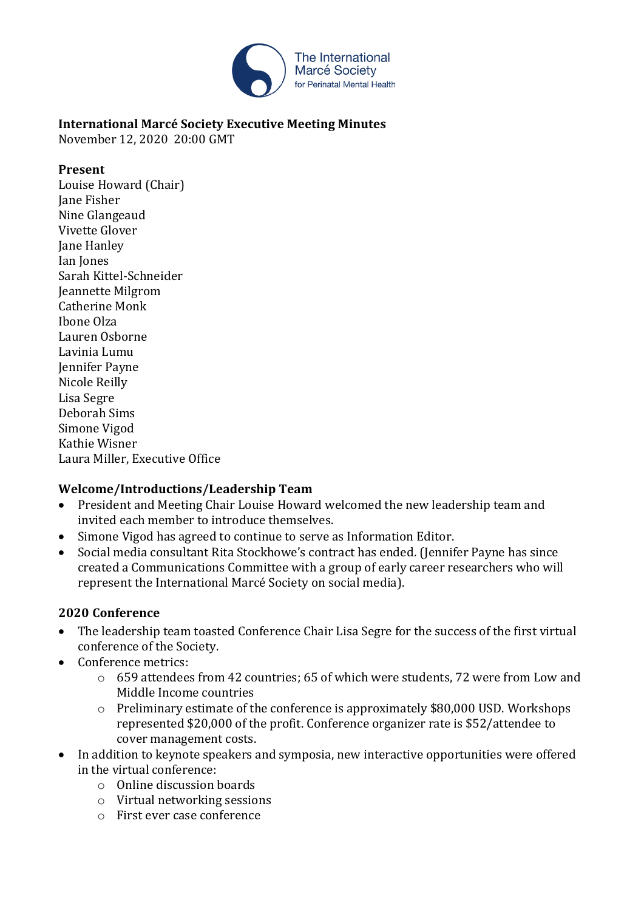

# **International Marcé Society Executive Meeting Minutes**

November 12, 2020 20:00 GMT

#### **Present**

Louise Howard (Chair) Jane Fisher Nine Glangeaud Vivette Glover Jane Hanley Ian Jones Sarah Kittel-Schneider Jeannette Milgrom Catherine Monk Ibone Olza Lauren Osborne Lavinia Lumu Jennifer Payne Nicole Reilly Lisa Segre Deborah Sims Simone Vigod Kathie Wisner Laura Miller, Executive Office

### **Welcome/Introductions/Leadership Team**

- President and Meeting Chair Louise Howard welcomed the new leadership team and invited each member to introduce themselves.
- Simone Vigod has agreed to continue to serve as Information Editor.
- Social media consultant Rita Stockhowe's contract has ended. (Jennifer Payne has since created a Communications Committee with a group of early career researchers who will represent the International Marcé Society on social media).

### **2020 Conference**

- The leadership team toasted Conference Chair Lisa Segre for the success of the first virtual conference of the Society.
- Conference metrics:
	- o 659 attendees from 42 countries; 65 of which were students, 72 were from Low and Middle Income countries
	- o Preliminary estimate of the conference is approximately \$80,000 USD. Workshops represented \$20,000 of the profit. Conference organizer rate is \$52/attendee to cover management costs.
- In addition to keynote speakers and symposia, new interactive opportunities were offered in the virtual conference:
	- o Online discussion boards
	- o Virtual networking sessions
	- o First ever case conference